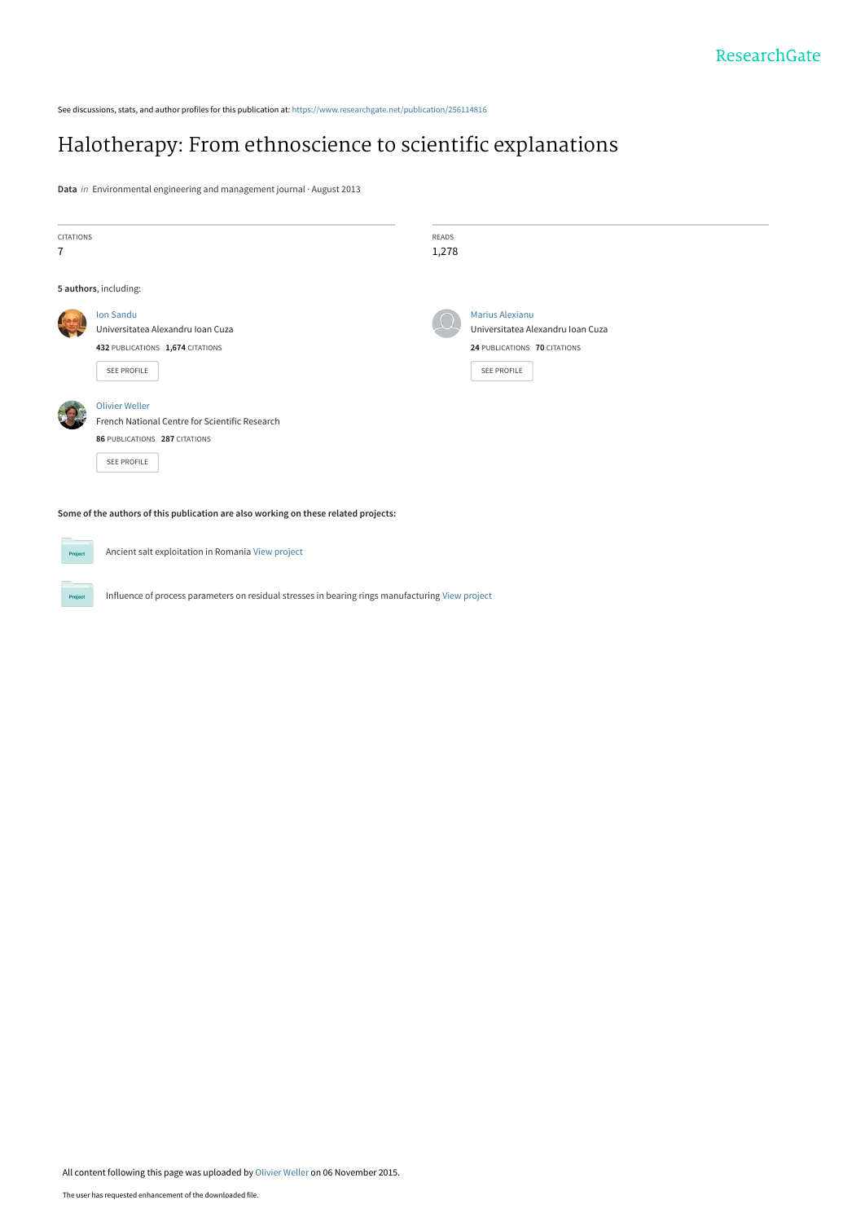See discussions, stats, and author profiles for this publication at: [https://www.researchgate.net/publication/256114816](https://www.researchgate.net/publication/256114816_Halotherapy_From_ethnoscience_to_scientific_explanations?enrichId=rgreq-a1f70985650183d2c8e894e51270d691-XXX&enrichSource=Y292ZXJQYWdlOzI1NjExNDgxNjtBUzoyOTI4NTIwMTkwMjM4NzJAMTQ0NjgzMjc3MDQ2MQ%3D%3D&el=1_x_2&_esc=publicationCoverPdf)

# [Halotherapy: From ethnoscience to scientific explanations](https://www.researchgate.net/publication/256114816_Halotherapy_From_ethnoscience_to_scientific_explanations?enrichId=rgreq-a1f70985650183d2c8e894e51270d691-XXX&enrichSource=Y292ZXJQYWdlOzI1NjExNDgxNjtBUzoyOTI4NTIwMTkwMjM4NzJAMTQ0NjgzMjc3MDQ2MQ%3D%3D&el=1_x_3&_esc=publicationCoverPdf)

**Data** in Environmental engineering and management journal · August 2013

| <b>CITATIONS</b><br>7                                                               |                                                                                                                                | <b>READS</b><br>1,278 |                                                                                                            |  |
|-------------------------------------------------------------------------------------|--------------------------------------------------------------------------------------------------------------------------------|-----------------------|------------------------------------------------------------------------------------------------------------|--|
|                                                                                     | 5 authors, including:                                                                                                          |                       |                                                                                                            |  |
|                                                                                     | Ion Sandu<br>Universitatea Alexandru Ioan Cuza<br>432 PUBLICATIONS 1,674 CITATIONS<br>SEE PROFILE                              |                       | <b>Marius Alexianu</b><br>Universitatea Alexandru Ioan Cuza<br>24 PUBLICATIONS 70 CITATIONS<br>SEE PROFILE |  |
|                                                                                     | <b>Olivier Weller</b><br>French National Centre for Scientific Research<br>86 PUBLICATIONS 287 CITATIONS<br><b>SEE PROFILE</b> |                       |                                                                                                            |  |
| Some of the authors of this publication are also working on these related projects: |                                                                                                                                |                       |                                                                                                            |  |

Ancient salt exploitation in Romania [View project](https://www.researchgate.net/project/Ancient-salt-exploitation-in-Romania?enrichId=rgreq-a1f70985650183d2c8e894e51270d691-XXX&enrichSource=Y292ZXJQYWdlOzI1NjExNDgxNjtBUzoyOTI4NTIwMTkwMjM4NzJAMTQ0NjgzMjc3MDQ2MQ%3D%3D&el=1_x_9&_esc=publicationCoverPdf) **Project** 

Project

Influence of process parameters on residual stresses in bearing rings manufacturing [View project](https://www.researchgate.net/project/Influence-of-process-parameters-on-residual-stresses-in-bearing-rings-manufacturing?enrichId=rgreq-a1f70985650183d2c8e894e51270d691-XXX&enrichSource=Y292ZXJQYWdlOzI1NjExNDgxNjtBUzoyOTI4NTIwMTkwMjM4NzJAMTQ0NjgzMjc3MDQ2MQ%3D%3D&el=1_x_9&_esc=publicationCoverPdf)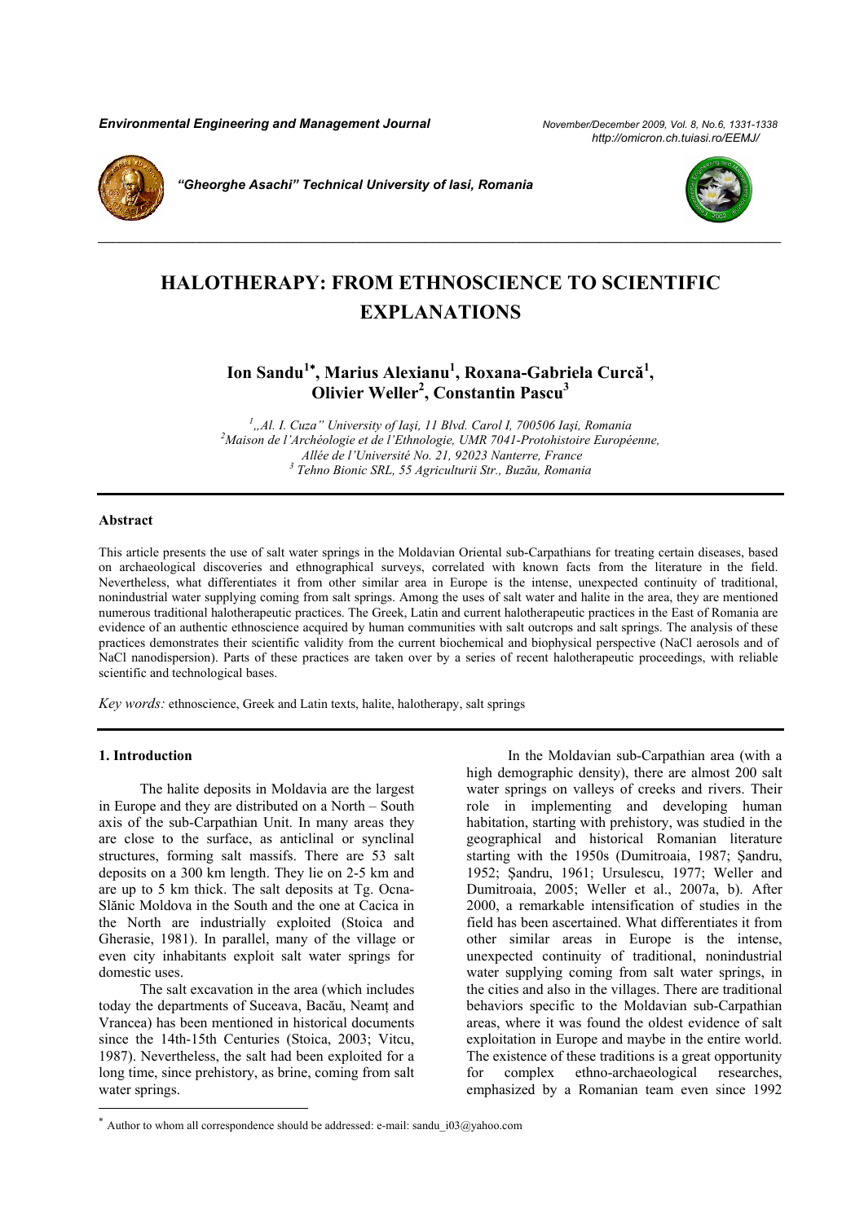*Environmental Engineering and Management Journal November/December 2009, Vol. 8, No.6, 1331-1338*

 *http://omicron.ch.tuiasi.ro/EEMJ/* 



*"Gheorghe Asachi" Technical University of Iasi, Romania* 



## **HALOTHERAPY: FROM ETHNOSCIENCE TO SCIENTIFIC EXPLANATIONS**

*\_\_\_\_\_\_\_\_\_\_\_\_\_\_\_\_\_\_\_\_\_\_\_\_\_\_\_\_\_\_\_\_\_\_\_\_\_\_\_\_\_\_\_\_\_\_\_\_\_\_\_\_\_\_\_\_\_\_\_\_\_\_\_\_\_\_\_\_\_\_\_\_\_\_\_\_\_\_\_\_\_\_\_\_\_\_\_\_\_\_\_\_\_\_* 

**Ion Sandu<sup>1</sup>**<sup>∗</sup> **, Marius Alexianu<sup>1</sup> , Roxana-Gabriela Curcă<sup>1</sup> , Olivier Weller<sup>2</sup>, Constantin Pascu<sup>3</sup>** 

*1 "Al. I. Cuza" University of Iaşi, 11 Blvd. Carol I, 700506 Iaşi, Romania 2 Maison de l'Archéologie et de l'Ethnologie, UMR 7041-Protohistoire Européenne, Allée de l'Université No. 21, 92023 Nanterre, France 3 Tehno Bionic SRL, 55 Agriculturii Str., Buzău, Romania* 

#### **Abstract**

This article presents the use of salt water springs in the Moldavian Oriental sub-Carpathians for treating certain diseases, based on archaeological discoveries and ethnographical surveys, correlated with known facts from the literature in the field. Nevertheless, what differentiates it from other similar area in Europe is the intense, unexpected continuity of traditional, nonindustrial water supplying coming from salt springs. Among the uses of salt water and halite in the area, they are mentioned numerous traditional halotherapeutic practices. The Greek, Latin and current halotherapeutic practices in the East of Romania are evidence of an authentic ethnoscience acquired by human communities with salt outcrops and salt springs. The analysis of these practices demonstrates their scientific validity from the current biochemical and biophysical perspective (NaCl aerosols and of NaCl nanodispersion). Parts of these practices are taken over by a series of recent halotherapeutic proceedings, with reliable scientific and technological bases.

*Key words:* ethnoscience, Greek and Latin texts, halite, halotherapy, salt springs

#### **1. Introduction**

l

The halite deposits in Moldavia are the largest in Europe and they are distributed on a North – South axis of the sub-Carpathian Unit. In many areas they are close to the surface, as anticlinal or synclinal structures, forming salt massifs. There are 53 salt deposits on a 300 km length. They lie on 2-5 km and are up to 5 km thick. The salt deposits at Tg. Ocna-Slănic Moldova in the South and the one at Cacica in the North are industrially exploited (Stoica and Gherasie, 1981). In parallel, many of the village or even city inhabitants exploit salt water springs for domestic uses.

The salt excavation in the area (which includes today the departments of Suceava, Bacău, Neamţ and Vrancea) has been mentioned in historical documents since the 14th-15th Centuries (Stoica, 2003; Vitcu, 1987). Nevertheless, the salt had been exploited for a long time, since prehistory, as brine, coming from salt water springs.

In the Moldavian sub-Carpathian area (with a high demographic density), there are almost 200 salt water springs on valleys of creeks and rivers. Their role in implementing and developing human habitation, starting with prehistory, was studied in the geographical and historical Romanian literature starting with the 1950s (Dumitroaia, 1987; Şandru, 1952; Şandru, 1961; Ursulescu, 1977; Weller and Dumitroaia, 2005; Weller et al., 2007a, b). After 2000, a remarkable intensification of studies in the field has been ascertained. What differentiates it from other similar areas in Europe is the intense, unexpected continuity of traditional, nonindustrial water supplying coming from salt water springs, in the cities and also in the villages. There are traditional behaviors specific to the Moldavian sub-Carpathian areas, where it was found the oldest evidence of salt exploitation in Europe and maybe in the entire world. The existence of these traditions is a great opportunity for complex ethno-archaeological researches. emphasized by a Romanian team even since 1992

Author to whom all correspondence should be addressed: e-mail: sandu i03@yahoo.com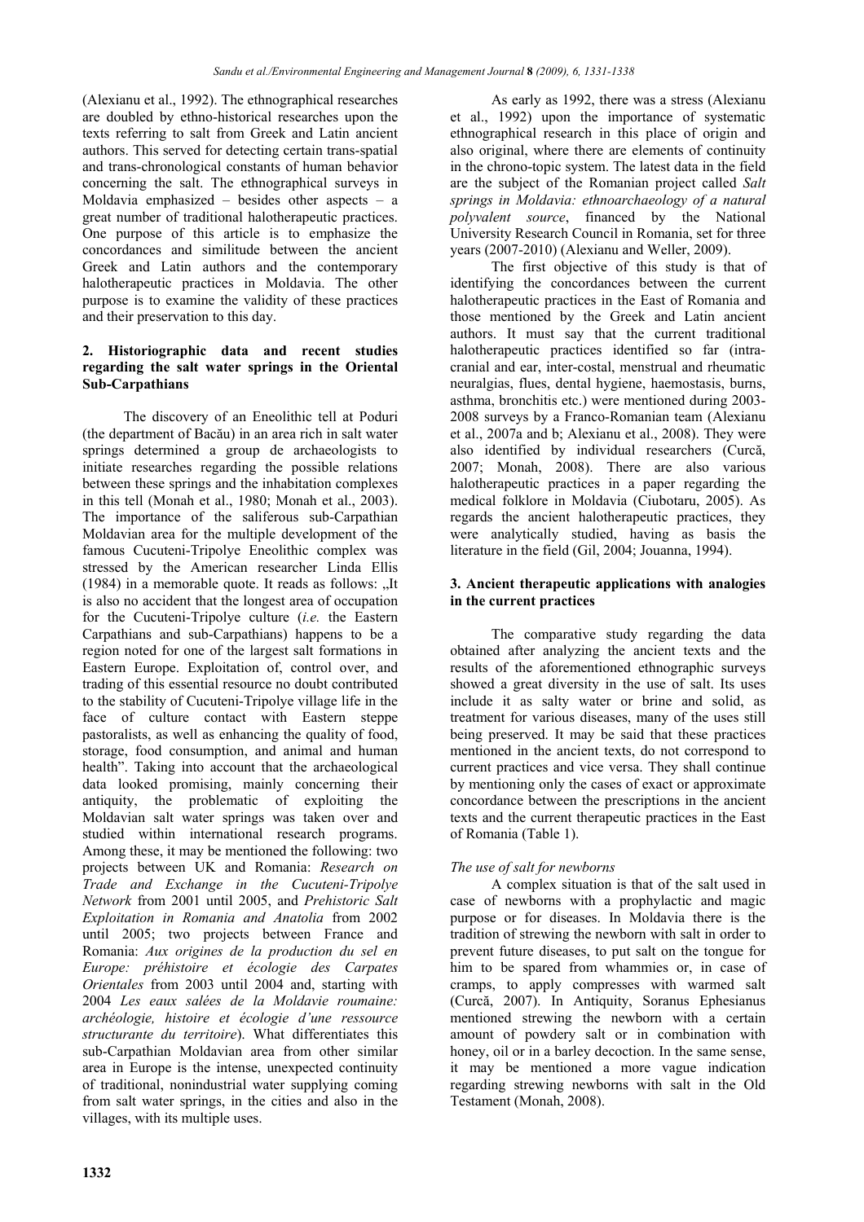(Alexianu et al., 1992). The ethnographical researches are doubled by ethno-historical researches upon the texts referring to salt from Greek and Latin ancient authors. This served for detecting certain trans-spatial and trans-chronological constants of human behavior concerning the salt. The ethnographical surveys in Moldavia emphasized – besides other aspects – a great number of traditional halotherapeutic practices. One purpose of this article is to emphasize the concordances and similitude between the ancient Greek and Latin authors and the contemporary halotherapeutic practices in Moldavia. The other purpose is to examine the validity of these practices and their preservation to this day.

## **2. Historiographic data and recent studies regarding the salt water springs in the Oriental Sub-Carpathians**

The discovery of an Eneolithic tell at Poduri (the department of Bacău) in an area rich in salt water springs determined a group de archaeologists to initiate researches regarding the possible relations between these springs and the inhabitation complexes in this tell (Monah et al., 1980; Monah et al., 2003). The importance of the saliferous sub-Carpathian Moldavian area for the multiple development of the famous Cucuteni-Tripolye Eneolithic complex was stressed by the American researcher Linda Ellis (1984) in a memorable quote. It reads as follows:  $n$ It is also no accident that the longest area of occupation for the Cucuteni-Tripolye culture (*i.e.* the Eastern Carpathians and sub-Carpathians) happens to be a region noted for one of the largest salt formations in Eastern Europe. Exploitation of, control over, and trading of this essential resource no doubt contributed to the stability of Cucuteni-Tripolye village life in the face of culture contact with Eastern steppe pastoralists, as well as enhancing the quality of food, storage, food consumption, and animal and human health". Taking into account that the archaeological data looked promising, mainly concerning their antiquity, the problematic of exploiting the Moldavian salt water springs was taken over and studied within international research programs. Among these, it may be mentioned the following: two projects between UK and Romania: *Research on Trade and Exchange in the Cucuteni-Tripolye Network* from 2001 until 2005, and *Prehistoric Salt Exploitation in Romania and Anatolia* from 2002 until 2005; two projects between France and Romania: *Aux origines de la production du sel en Europe: préhistoire et écologie des Carpates Orientales* from 2003 until 2004 and, starting with 2004 *Les eaux salées de la Moldavie roumaine: archéologie, histoire et écologie d'une ressource structurante du territoire*). What differentiates this sub-Carpathian Moldavian area from other similar area in Europe is the intense, unexpected continuity of traditional, nonindustrial water supplying coming from salt water springs, in the cities and also in the villages, with its multiple uses.

As early as 1992, there was a stress (Alexianu et al., 1992) upon the importance of systematic ethnographical research in this place of origin and also original, where there are elements of continuity in the chrono-topic system. The latest data in the field are the subject of the Romanian project called *Salt springs in Moldavia: ethnoarchaeology of a natural polyvalent source*, financed by the National University Research Council in Romania, set for three years (2007-2010) (Alexianu and Weller, 2009).

The first objective of this study is that of identifying the concordances between the current halotherapeutic practices in the East of Romania and those mentioned by the Greek and Latin ancient authors. It must say that the current traditional halotherapeutic practices identified so far (intracranial and ear, inter-costal, menstrual and rheumatic neuralgias, flues, dental hygiene, haemostasis, burns, asthma, bronchitis etc.) were mentioned during 2003- 2008 surveys by a Franco-Romanian team (Alexianu et al., 2007a and b; Alexianu et al., 2008). They were also identified by individual researchers (Curcă, 2007; Monah, 2008). There are also various halotherapeutic practices in a paper regarding the medical folklore in Moldavia (Ciubotaru, 2005). As regards the ancient halotherapeutic practices, they were analytically studied, having as basis the literature in the field (Gil, 2004; Jouanna, 1994).

### **3. Ancient therapeutic applications with analogies in the current practices**

The comparative study regarding the data obtained after analyzing the ancient texts and the results of the aforementioned ethnographic surveys showed a great diversity in the use of salt. Its uses include it as salty water or brine and solid, as treatment for various diseases, many of the uses still being preserved. It may be said that these practices mentioned in the ancient texts, do not correspond to current practices and vice versa. They shall continue by mentioning only the cases of exact or approximate concordance between the prescriptions in the ancient texts and the current therapeutic practices in the East of Romania (Table 1).

## *The use of salt for newborns*

A complex situation is that of the salt used in case of newborns with a prophylactic and magic purpose or for diseases. In Moldavia there is the tradition of strewing the newborn with salt in order to prevent future diseases, to put salt on the tongue for him to be spared from whammies or, in case of cramps, to apply compresses with warmed salt (Curcă, 2007). In Antiquity, Soranus Ephesianus mentioned strewing the newborn with a certain amount of powdery salt or in combination with honey, oil or in a barley decoction. In the same sense, it may be mentioned a more vague indication regarding strewing newborns with salt in the Old Testament (Monah, 2008).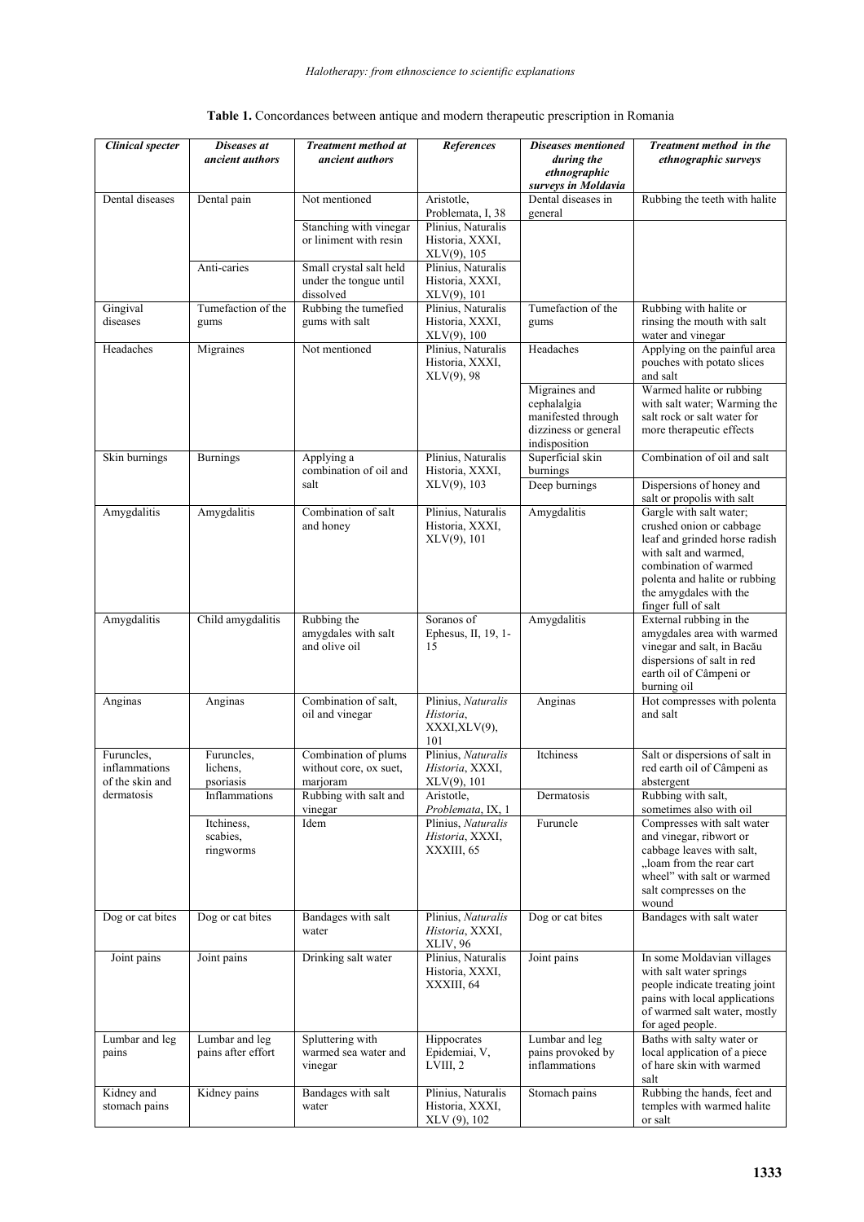| <b>Clinical specter</b>                        | Diseases at<br>ancient authors       | <b>Treatment method at</b><br>ancient authors                  | References                                                                   | <b>Diseases mentioned</b><br>during the<br>ethnographic                                     | Treatment method in the<br>ethnographic surveys                                                                                                                                                                          |
|------------------------------------------------|--------------------------------------|----------------------------------------------------------------|------------------------------------------------------------------------------|---------------------------------------------------------------------------------------------|--------------------------------------------------------------------------------------------------------------------------------------------------------------------------------------------------------------------------|
| Dental diseases                                | Dental pain                          | Not mentioned                                                  | Aristotle,                                                                   | surveys in Moldavia<br>Dental diseases in                                                   | Rubbing the teeth with halite                                                                                                                                                                                            |
|                                                |                                      | Stanching with vinegar<br>or liniment with resin               | Problemata, I, 38<br>Plinius, Naturalis<br>Historia, XXXI,<br>$XLV(9)$ , 105 | general                                                                                     |                                                                                                                                                                                                                          |
|                                                | Anti-caries                          | Small crystal salt held<br>under the tongue until<br>dissolved | Plinius, Naturalis<br>Historia, XXXI,<br>XLV(9), 101                         |                                                                                             |                                                                                                                                                                                                                          |
| Gingival<br>diseases                           | Tumefaction of the<br>gums           | Rubbing the tumefied<br>gums with salt                         | Plinius, Naturalis<br>Historia, XXXI,<br>XLV(9), 100                         | Tumefaction of the<br>gums                                                                  | Rubbing with halite or<br>rinsing the mouth with salt<br>water and vinegar                                                                                                                                               |
| Headaches                                      | Migraines                            | Not mentioned                                                  | Plinius, Naturalis<br>Historia, XXXI,<br>$XLV(9)$ , 98                       | Headaches                                                                                   | Applying on the painful area<br>pouches with potato slices<br>and salt                                                                                                                                                   |
|                                                |                                      |                                                                |                                                                              | Migraines and<br>cephalalgia<br>manifested through<br>dizziness or general<br>indisposition | Warmed halite or rubbing<br>with salt water; Warming the<br>salt rock or salt water for<br>more therapeutic effects                                                                                                      |
| Skin burnings                                  | <b>Burnings</b>                      | Applying a<br>combination of oil and                           | Plinius, Naturalis<br>Historia, XXXI,                                        | Superficial skin<br>burnings                                                                | Combination of oil and salt                                                                                                                                                                                              |
|                                                |                                      | salt                                                           | $XLV(9)$ , 103                                                               | Deep burnings                                                                               | Dispersions of honey and<br>salt or propolis with salt                                                                                                                                                                   |
| Amygdalitis                                    | Amygdalitis                          | Combination of salt<br>and honey                               | Plinius, Naturalis<br>Historia, XXXI,<br>$XLV(9)$ , 101                      | Amygdalitis                                                                                 | Gargle with salt water;<br>crushed onion or cabbage<br>leaf and grinded horse radish<br>with salt and warmed.<br>combination of warmed<br>polenta and halite or rubbing<br>the amygdales with the<br>finger full of salt |
| Amygdalitis                                    | Child amygdalitis                    | Rubbing the<br>amygdales with salt<br>and olive oil            | Soranos of<br>Ephesus, II, 19, 1-<br>15                                      | Amygdalitis                                                                                 | External rubbing in the<br>amygdales area with warmed<br>vinegar and salt, in Bacău<br>dispersions of salt in red<br>earth oil of Câmpeni or<br>burning oil                                                              |
| Anginas                                        | Anginas                              | Combination of salt,<br>oil and vinegar                        | Plinius, Naturalis<br>Historia,<br>XXXI,XLV(9),<br>101                       | Anginas                                                                                     | Hot compresses with polenta<br>and salt                                                                                                                                                                                  |
| Furuncles.<br>inflammations<br>of the skin and | Furuncles,<br>lichens,<br>psoriasis  | Combination of plums<br>without core, ox suet,<br>marjoram     | Plinius, Naturalis<br>Historia, XXXI,<br>$XLV(9)$ , 101                      | Itchiness                                                                                   | Salt or dispersions of salt in<br>red earth oil of Câmpeni as<br>abstergent                                                                                                                                              |
| dermatosis                                     | Inflammations                        | Rubbing with salt and<br>vinegar                               | Aristotle,<br>Problemata, IX, 1                                              | Dermatosis                                                                                  | Rubbing with salt,<br>sometimes also with oil                                                                                                                                                                            |
|                                                | Itchiness,<br>scabies,<br>ringworms  | Idem                                                           | Plinius, Naturalis<br>Historia, XXXI,<br>XXXIII, 65                          | Furuncle                                                                                    | Compresses with salt water<br>and vinegar, ribwort or<br>cabbage leaves with salt,<br>"loam from the rear cart<br>wheel" with salt or warmed<br>salt compresses on the<br>wound                                          |
| Dog or cat bites                               | Dog or cat bites                     | Bandages with salt<br>water                                    | Plinius, Naturalis<br>Historia, XXXI,<br>XLIV, 96                            | Dog or cat bites                                                                            | Bandages with salt water                                                                                                                                                                                                 |
| Joint pains                                    | Joint pains                          | Drinking salt water                                            | Plinius, Naturalis<br>Historia, XXXI,<br>XXXIII, 64                          | Joint pains                                                                                 | In some Moldavian villages<br>with salt water springs<br>people indicate treating joint<br>pains with local applications<br>of warmed salt water, mostly<br>for aged people.                                             |
| Lumbar and leg<br>pains                        | Lumbar and leg<br>pains after effort | Spluttering with<br>warmed sea water and<br>vinegar            | Hippocrates<br>Epidemiai, V,<br>LVIII, 2                                     | Lumbar and leg<br>pains provoked by<br>inflammations                                        | Baths with salty water or<br>local application of a piece<br>of hare skin with warmed<br>salt                                                                                                                            |
| Kidney and<br>stomach pains                    | Kidney pains                         | Bandages with salt<br>water                                    | Plinius, Naturalis<br>Historia, XXXI,<br>XLV (9), 102                        | Stomach pains                                                                               | Rubbing the hands, feet and<br>temples with warmed halite<br>or salt                                                                                                                                                     |

| Table 1. Concordances between antique and modern therapeutic prescription in Romania |
|--------------------------------------------------------------------------------------|
|--------------------------------------------------------------------------------------|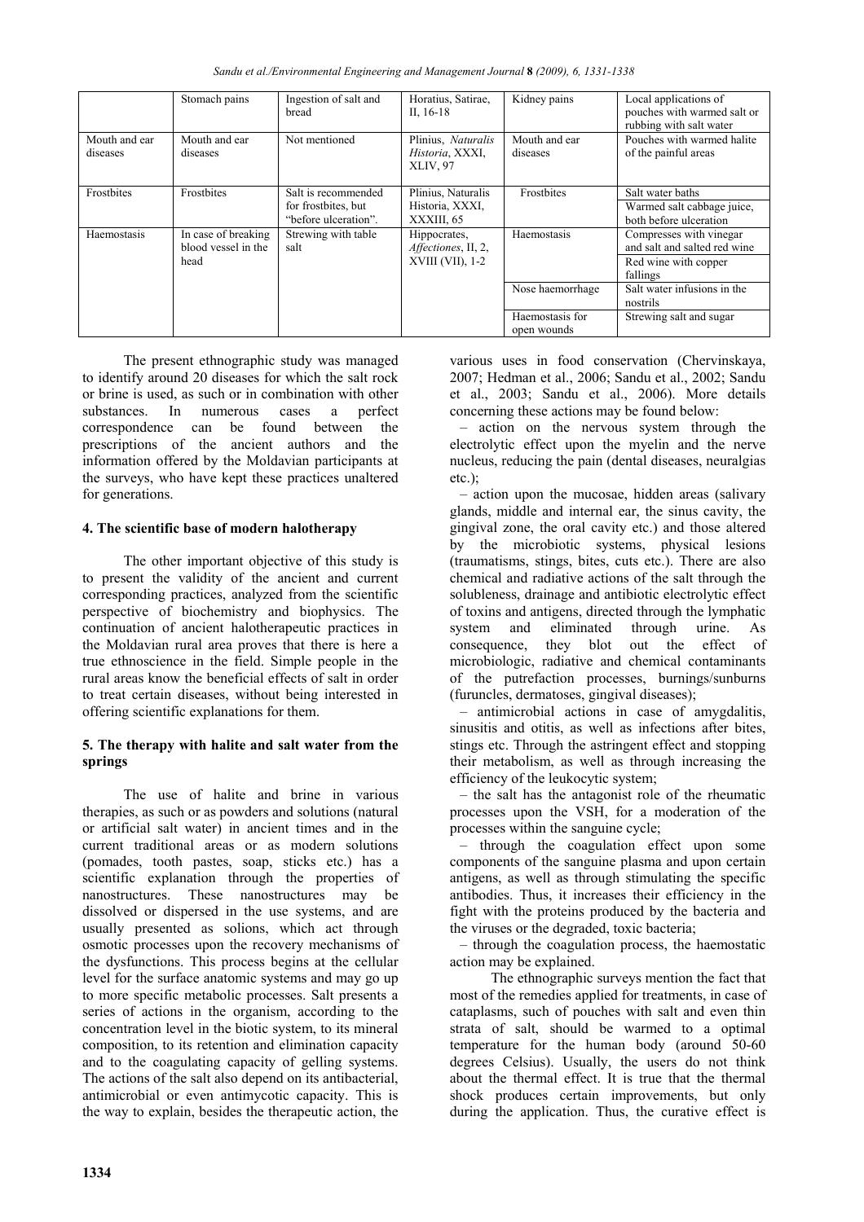*Sandu et al./Environmental Engineering and Management Journal* **8** *(2009), 6, 1331-1338* 

|                           | Stomach pains                                                                     | Ingestion of salt and<br>bread                                     | Horatius, Satirae,<br>II, $16-18$                   | Kidney pains                                                                                | Local applications of<br>pouches with warmed salt or<br>rubbing with salt water |
|---------------------------|-----------------------------------------------------------------------------------|--------------------------------------------------------------------|-----------------------------------------------------|---------------------------------------------------------------------------------------------|---------------------------------------------------------------------------------|
| Mouth and ear<br>diseases | Mouth and ear<br>diseases                                                         | Not mentioned                                                      | Plinius, Naturalis<br>Historia, XXXI,<br>XLIV, 97   | Mouth and ear<br>diseases                                                                   | Pouches with warmed halite<br>of the painful areas                              |
| Frostbites                | Frostbites                                                                        | Salt is recommended<br>for frostbites, but<br>"before ulceration". | Plinius, Naturalis<br>Historia, XXXI,<br>XXXIII, 65 | Frostbites                                                                                  | Salt water baths<br>Warmed salt cabbage juice,<br>both before ulceration        |
| Haemostasis               | In case of breaking<br>Strewing with table<br>blood vessel in the<br>salt<br>head | Hippocrates,<br>Affectiones, II, 2,<br>$XVIII (VII)$ , 1-2         | Haemostasis                                         | Compresses with vinegar<br>and salt and salted red wine<br>Red wine with copper<br>fallings |                                                                                 |
|                           |                                                                                   |                                                                    |                                                     | Nose haemorrhage                                                                            | Salt water infusions in the<br>nostrils                                         |
|                           |                                                                                   |                                                                    |                                                     | Haemostasis for<br>open wounds                                                              | Strewing salt and sugar                                                         |

The present ethnographic study was managed to identify around 20 diseases for which the salt rock or brine is used, as such or in combination with other substances. In numerous cases a perfect correspondence can be found between the prescriptions of the ancient authors and the information offered by the Moldavian participants at the surveys, who have kept these practices unaltered for generations.

### **4. The scientific base of modern halotherapy**

The other important objective of this study is to present the validity of the ancient and current corresponding practices, analyzed from the scientific perspective of biochemistry and biophysics. The continuation of ancient halotherapeutic practices in the Moldavian rural area proves that there is here a true ethnoscience in the field. Simple people in the rural areas know the beneficial effects of salt in order to treat certain diseases, without being interested in offering scientific explanations for them.

## **5. The therapy with halite and salt water from the springs**

The use of halite and brine in various therapies, as such or as powders and solutions (natural or artificial salt water) in ancient times and in the current traditional areas or as modern solutions (pomades, tooth pastes, soap, sticks etc.) has a scientific explanation through the properties of nanostructures. These nanostructures may be dissolved or dispersed in the use systems, and are usually presented as solions, which act through osmotic processes upon the recovery mechanisms of the dysfunctions. This process begins at the cellular level for the surface anatomic systems and may go up to more specific metabolic processes. Salt presents a series of actions in the organism, according to the concentration level in the biotic system, to its mineral composition, to its retention and elimination capacity and to the coagulating capacity of gelling systems. The actions of the salt also depend on its antibacterial, antimicrobial or even antimycotic capacity. This is the way to explain, besides the therapeutic action, the

various uses in food conservation (Chervinskaya, 2007; Hedman et al., 2006; Sandu et al., 2002; Sandu et al., 2003; Sandu et al., 2006). More details concerning these actions may be found below:

– action on the nervous system through the electrolytic effect upon the myelin and the nerve nucleus, reducing the pain (dental diseases, neuralgias etc.);

– action upon the mucosae, hidden areas (salivary glands, middle and internal ear, the sinus cavity, the gingival zone, the oral cavity etc.) and those altered by the microbiotic systems, physical lesions (traumatisms, stings, bites, cuts etc.). There are also chemical and radiative actions of the salt through the solubleness, drainage and antibiotic electrolytic effect of toxins and antigens, directed through the lymphatic system and eliminated through urine. As consequence, they blot out the effect of microbiologic, radiative and chemical contaminants of the putrefaction processes, burnings/sunburns (furuncles, dermatoses, gingival diseases);

– antimicrobial actions in case of amygdalitis, sinusitis and otitis, as well as infections after bites, stings etc. Through the astringent effect and stopping their metabolism, as well as through increasing the efficiency of the leukocytic system;

– the salt has the antagonist role of the rheumatic processes upon the VSH, for a moderation of the processes within the sanguine cycle;

– through the coagulation effect upon some components of the sanguine plasma and upon certain antigens, as well as through stimulating the specific antibodies. Thus, it increases their efficiency in the fight with the proteins produced by the bacteria and the viruses or the degraded, toxic bacteria;

– through the coagulation process, the haemostatic action may be explained.

The ethnographic surveys mention the fact that most of the remedies applied for treatments, in case of cataplasms, such of pouches with salt and even thin strata of salt, should be warmed to a optimal temperature for the human body (around 50-60 degrees Celsius). Usually, the users do not think about the thermal effect. It is true that the thermal shock produces certain improvements, but only during the application. Thus, the curative effect is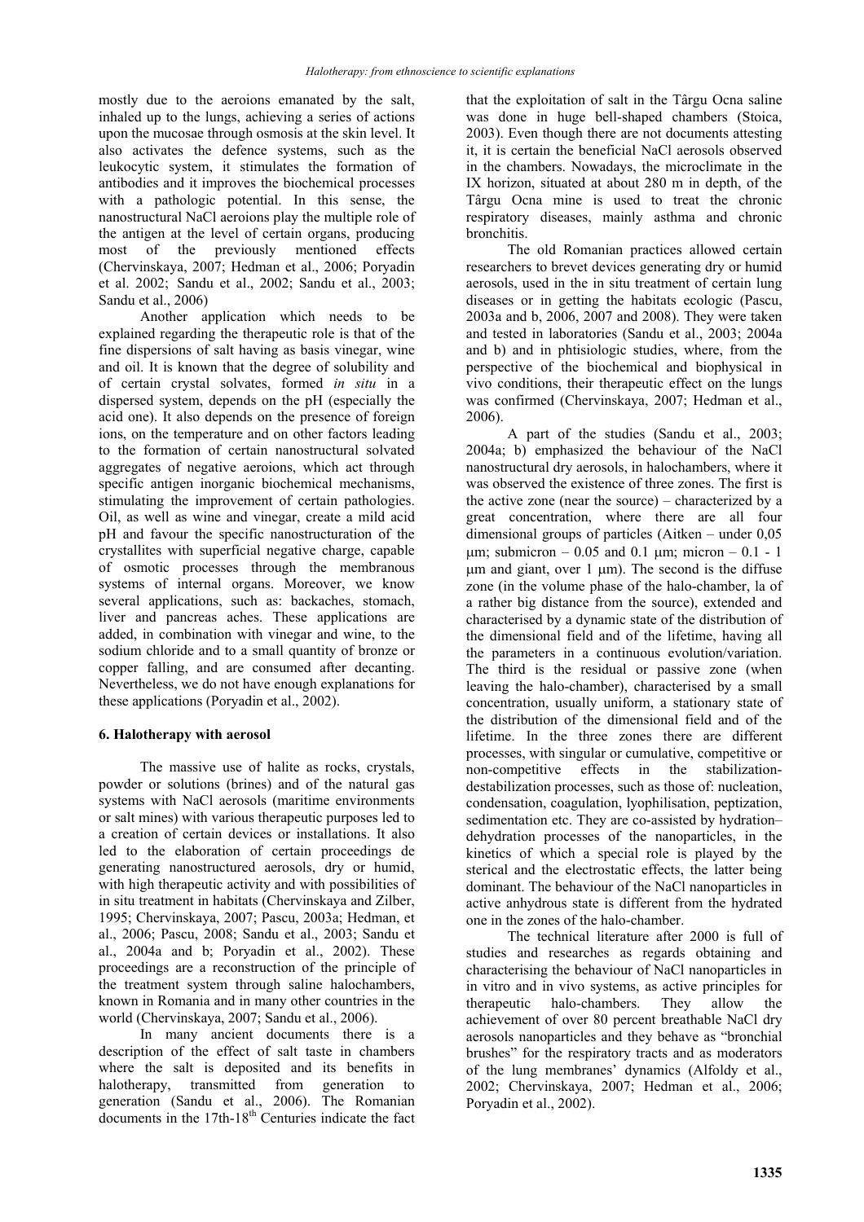mostly due to the aeroions emanated by the salt, inhaled up to the lungs, achieving a series of actions upon the mucosae through osmosis at the skin level. It also activates the defence systems, such as the leukocytic system, it stimulates the formation of antibodies and it improves the biochemical processes with a pathologic potential. In this sense, the nanostructural NaCl aeroions play the multiple role of the antigen at the level of certain organs, producing most of the previously mentioned effects (Chervinskaya, 2007; Hedman et al., 2006; Poryadin et al. 2002; Sandu et al., 2002; Sandu et al., 2003; Sandu et al., 2006)

Another application which needs to be explained regarding the therapeutic role is that of the fine dispersions of salt having as basis vinegar, wine and oil. It is known that the degree of solubility and of certain crystal solvates, formed *in situ* in a dispersed system, depends on the pH (especially the acid one). It also depends on the presence of foreign ions, on the temperature and on other factors leading to the formation of certain nanostructural solvated aggregates of negative aeroions, which act through specific antigen inorganic biochemical mechanisms, stimulating the improvement of certain pathologies. Oil, as well as wine and vinegar, create a mild acid pH and favour the specific nanostructuration of the crystallites with superficial negative charge, capable of osmotic processes through the membranous systems of internal organs. Moreover, we know several applications, such as: backaches, stomach, liver and pancreas aches. These applications are added, in combination with vinegar and wine, to the sodium chloride and to a small quantity of bronze or copper falling, and are consumed after decanting. Nevertheless, we do not have enough explanations for these applications (Poryadin et al., 2002).

#### **6. Halotherapy with aerosol**

The massive use of halite as rocks, crystals, powder or solutions (brines) and of the natural gas systems with NaCl aerosols (maritime environments or salt mines) with various therapeutic purposes led to a creation of certain devices or installations. It also led to the elaboration of certain proceedings de generating nanostructured aerosols, dry or humid, with high therapeutic activity and with possibilities of in situ treatment in habitats (Chervinskaya and Zilber, 1995; Chervinskaya, 2007; Pascu, 2003a; Hedman, et al., 2006; Pascu, 2008; Sandu et al., 2003; Sandu et al., 2004a and b; Poryadin et al., 2002). These proceedings are a reconstruction of the principle of the treatment system through saline halochambers, known in Romania and in many other countries in the world (Chervinskaya, 2007; Sandu et al., 2006).

In many ancient documents there is a description of the effect of salt taste in chambers where the salt is deposited and its benefits in halotherapy, transmitted from generation to halotherapy, transmitted from generation to generation (Sandu et al., 2006). The Romanian  $d$ ocuments in the 17th-18<sup>th</sup> Centuries indicate the fact

that the exploitation of salt in the Târgu Ocna saline was done in huge bell-shaped chambers (Stoica, 2003). Even though there are not documents attesting it, it is certain the beneficial NaCl aerosols observed in the chambers. Nowadays, the microclimate in the IX horizon, situated at about 280 m in depth, of the Târgu Ocna mine is used to treat the chronic respiratory diseases, mainly asthma and chronic bronchitis.

The old Romanian practices allowed certain researchers to brevet devices generating dry or humid aerosols, used in the in situ treatment of certain lung diseases or in getting the habitats ecologic (Pascu, 2003a and b, 2006, 2007 and 2008). They were taken and tested in laboratories (Sandu et al., 2003; 2004a and b) and in phtisiologic studies, where, from the perspective of the biochemical and biophysical in vivo conditions, their therapeutic effect on the lungs was confirmed (Chervinskaya, 2007; Hedman et al., 2006).

A part of the studies (Sandu et al., 2003; 2004a; b) emphasized the behaviour of the NaCl nanostructural dry aerosols, in halochambers, where it was observed the existence of three zones. The first is the active zone (near the source) – characterized by a great concentration, where there are all four dimensional groups of particles (Aitken – under 0,05 um; submicron  $-0.05$  and 0.1 um; micron  $-0.1 - 1$  $\mu$ m and giant, over 1  $\mu$ m). The second is the diffuse zone (in the volume phase of the halo-chamber, la of a rather big distance from the source), extended and characterised by a dynamic state of the distribution of the dimensional field and of the lifetime, having all the parameters in a continuous evolution/variation. The third is the residual or passive zone (when leaving the halo-chamber), characterised by a small concentration, usually uniform, a stationary state of the distribution of the dimensional field and of the lifetime. In the three zones there are different processes, with singular or cumulative, competitive or non-competitive effects in the stabilizationdestabilization processes, such as those of: nucleation, condensation, coagulation, lyophilisation, peptization, sedimentation etc. They are co-assisted by hydration– dehydration processes of the nanoparticles, in the kinetics of which a special role is played by the sterical and the electrostatic effects, the latter being dominant. The behaviour of the NaCl nanoparticles in active anhydrous state is different from the hydrated one in the zones of the halo-chamber.

The technical literature after 2000 is full of studies and researches as regards obtaining and characterising the behaviour of NaCl nanoparticles in in vitro and in vivo systems, as active principles for therapeutic halo-chambers. They allow the achievement of over 80 percent breathable NaCl dry aerosols nanoparticles and they behave as "bronchial brushes" for the respiratory tracts and as moderators of the lung membranes' dynamics (Alfoldy et al., 2002; Chervinskaya, 2007; Hedman et al., 2006; Poryadin et al., 2002).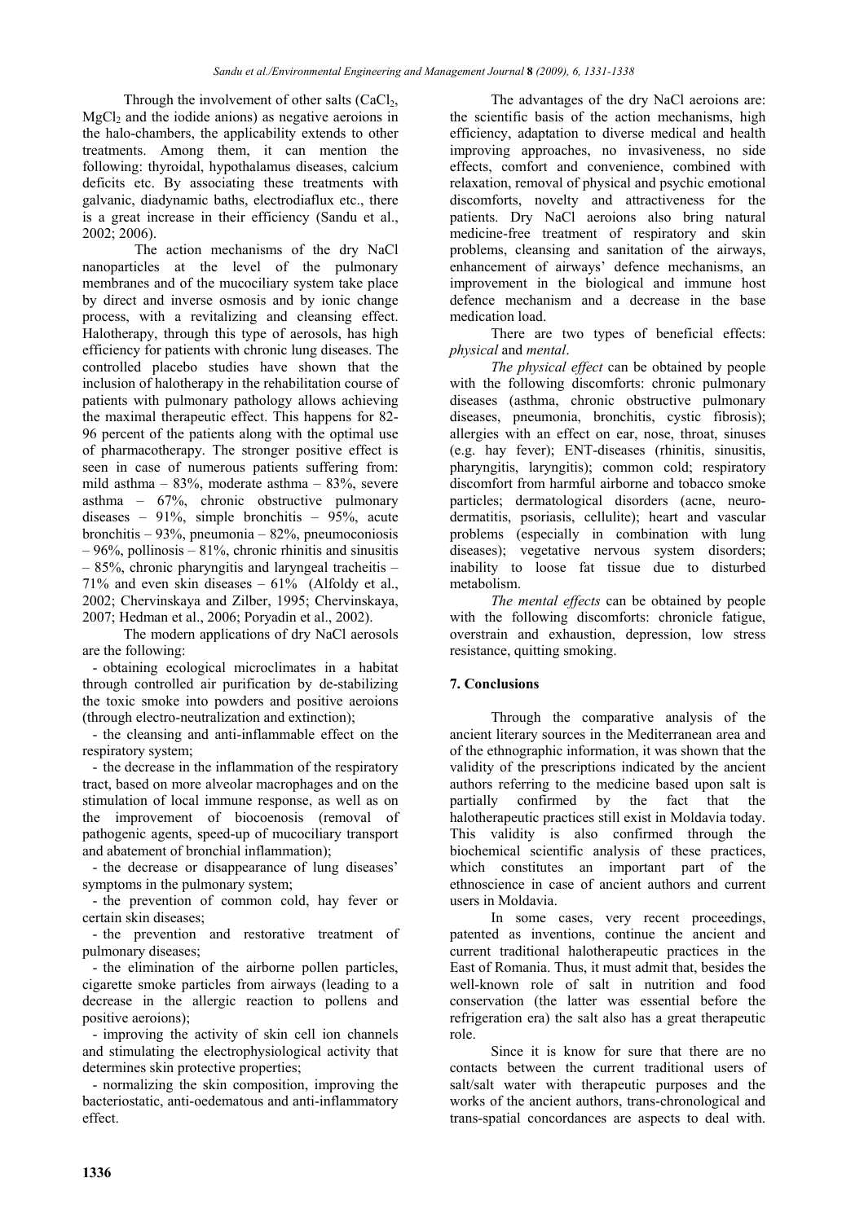Through the involvement of other salts  $(CaCl<sub>2</sub>,$  $MgCl<sub>2</sub>$  and the iodide anions) as negative aeroions in the halo-chambers, the applicability extends to other treatments. Among them, it can mention the following: thyroidal, hypothalamus diseases, calcium deficits etc. By associating these treatments with galvanic, diadynamic baths, electrodiaflux etc., there is a great increase in their efficiency (Sandu et al., 2002; 2006).

The action mechanisms of the dry NaCl nanoparticles at the level of the pulmonary membranes and of the mucociliary system take place by direct and inverse osmosis and by ionic change process, with a revitalizing and cleansing effect. Halotherapy, through this type of aerosols, has high efficiency for patients with chronic lung diseases. The controlled placebo studies have shown that the inclusion of halotherapy in the rehabilitation course of patients with pulmonary pathology allows achieving the maximal therapeutic effect. This happens for 82- 96 percent of the patients along with the optimal use of pharmacotherapy. The stronger positive effect is seen in case of numerous patients suffering from: mild asthma – 83%, moderate asthma – 83%, severe asthma – 67%, chronic obstructive pulmonary diseases – 91%, simple bronchitis – 95%, acute bronchitis – 93%, pneumonia – 82%, pneumoconiosis  $-96\%$ , pollinosis  $-81\%$ , chronic rhinitis and sinusitis  $-85%$ , chronic pharyngitis and laryngeal tracheitis – 71% and even skin diseases  $-61%$  (Alfoldy et al., 2002; Chervinskaya and Zilber, 1995; Chervinskaya, 2007; Hedman et al., 2006; Poryadin et al., 2002).

The modern applications of dry NaCl aerosols are the following:

- obtaining ecological microclimates in a habitat through controlled air purification by de-stabilizing the toxic smoke into powders and positive aeroions (through electro-neutralization and extinction);

- the cleansing and anti-inflammable effect on the respiratory system;

- the decrease in the inflammation of the respiratory tract, based on more alveolar macrophages and on the stimulation of local immune response, as well as on the improvement of biocoenosis (removal of pathogenic agents, speed-up of mucociliary transport and abatement of bronchial inflammation);

- the decrease or disappearance of lung diseases' symptoms in the pulmonary system;

- the prevention of common cold, hay fever or certain skin diseases;

- the prevention and restorative treatment of pulmonary diseases;

- the elimination of the airborne pollen particles, cigarette smoke particles from airways (leading to a decrease in the allergic reaction to pollens and positive aeroions);

- improving the activity of skin cell ion channels and stimulating the electrophysiological activity that determines skin protective properties;

- normalizing the skin composition, improving the bacteriostatic, anti-oedematous and anti-inflammatory effect.

The advantages of the dry NaCl aeroions are: the scientific basis of the action mechanisms, high efficiency, adaptation to diverse medical and health improving approaches, no invasiveness, no side effects, comfort and convenience, combined with relaxation, removal of physical and psychic emotional discomforts, novelty and attractiveness for the patients. Dry NaCl aeroions also bring natural medicine-free treatment of respiratory and skin problems, cleansing and sanitation of the airways, enhancement of airways' defence mechanisms, an improvement in the biological and immune host defence mechanism and a decrease in the base medication load.

There are two types of beneficial effects: *physical* and *mental*.

*The physical effect* can be obtained by people with the following discomforts: chronic pulmonary diseases (asthma, chronic obstructive pulmonary diseases, pneumonia, bronchitis, cystic fibrosis); allergies with an effect on ear, nose, throat, sinuses (e.g. hay fever); ENT-diseases (rhinitis, sinusitis, pharyngitis, laryngitis); common cold; respiratory discomfort from harmful airborne and tobacco smoke particles; dermatological disorders (acne, neurodermatitis, psoriasis, cellulite); heart and vascular problems (especially in combination with lung diseases); vegetative nervous system disorders; inability to loose fat tissue due to disturbed metabolism.

*The mental effects* can be obtained by people with the following discomforts: chronicle fatigue, overstrain and exhaustion, depression, low stress resistance, quitting smoking.

### **7. Conclusions**

Through the comparative analysis of the ancient literary sources in the Mediterranean area and of the ethnographic information, it was shown that the validity of the prescriptions indicated by the ancient authors referring to the medicine based upon salt is partially confirmed by the fact that the halotherapeutic practices still exist in Moldavia today. This validity is also confirmed through the biochemical scientific analysis of these practices, which constitutes an important part of the ethnoscience in case of ancient authors and current users in Moldavia.

In some cases, very recent proceedings, patented as inventions, continue the ancient and current traditional halotherapeutic practices in the East of Romania. Thus, it must admit that, besides the well-known role of salt in nutrition and food conservation (the latter was essential before the refrigeration era) the salt also has a great therapeutic role.

Since it is know for sure that there are no contacts between the current traditional users of salt/salt water with therapeutic purposes and the works of the ancient authors, trans-chronological and trans-spatial concordances are aspects to deal with.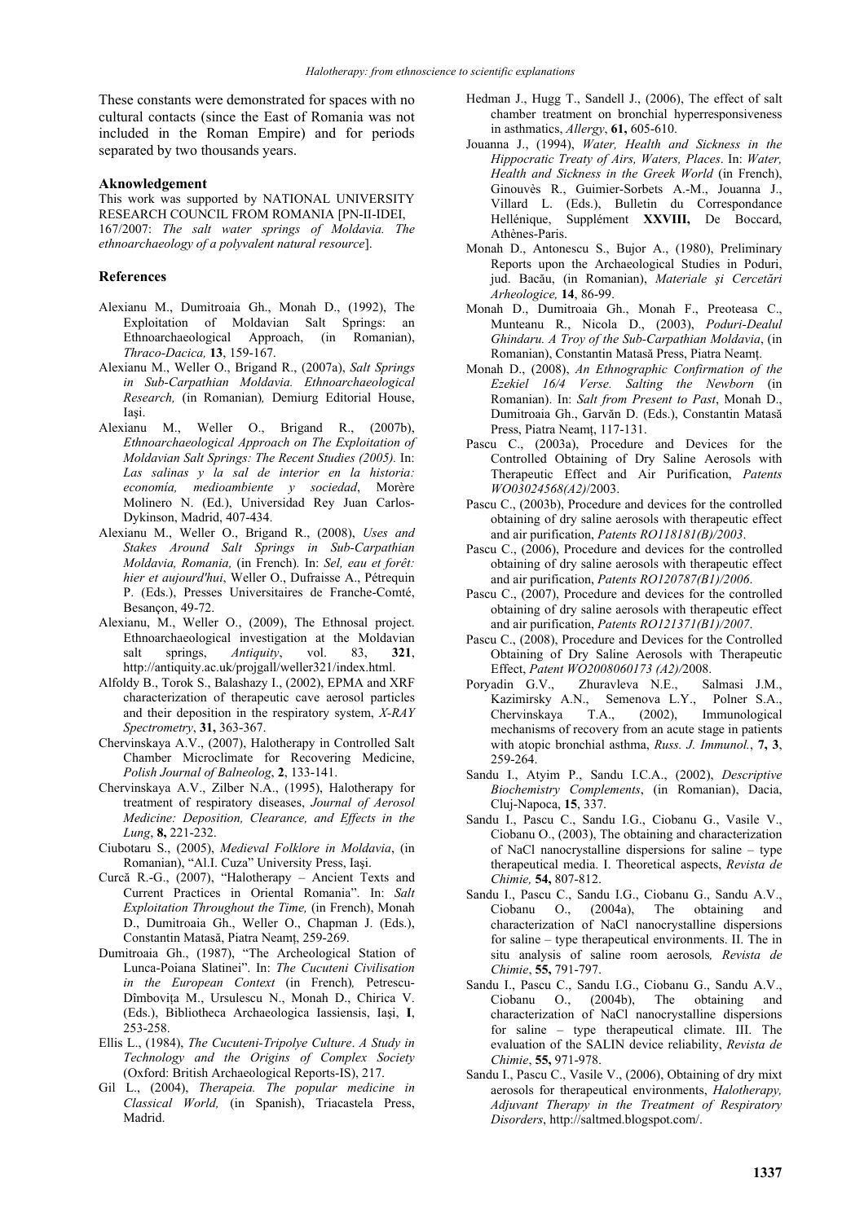These constants were demonstrated for spaces with no cultural contacts (since the East of Romania was not included in the Roman Empire) and for periods separated by two thousands years.

#### **Aknowledgement**

This work was supported by NATIONAL UNIVERSITY RESEARCH COUNCIL FROM ROMANIA [PN-II-IDEI, 167/2007: *The salt water springs of Moldavia. The ethnoarchaeology of a polyvalent natural resource*].

#### **References**

- Alexianu M., Dumitroaia Gh., Monah D., (1992), The Exploitation of Moldavian Salt Springs: an Ethnoarchaeological Approach, (in Romanian), *Thraco-Dacica,* **13**, 159-167.
- Alexianu M., Weller O., Brigand R., (2007a), *Salt Springs in Sub-Carpathian Moldavia. Ethnoarchaeological Research,* (in Romanian)*,* Demiurg Editorial House, Iaşi.
- Alexianu M., Weller O., Brigand R., (2007b), *Ethnoarchaeological Approach on The Exploitation of Moldavian Salt Springs: The Recent Studies (2005).* In: *Las salinas y la sal de interior en la historia: economía, medioambiente y sociedad*, Morère Molinero N. (Ed.), Universidad Rey Juan Carlos-Dykinson, Madrid, 407-434.
- Alexianu M., Weller O., Brigand R., (2008), *Uses and Stakes Around Salt Springs in Sub-Carpathian Moldavia, Romania,* (in French)*.* In: *Sel, eau et forêt: hier et aujourd'hui*, Weller O., Dufraisse A., Pétrequin P. (Eds.), Presses Universitaires de Franche-Comté, Besançon, 49-72.
- Alexianu, M., Weller O., (2009), The Ethnosal project. Ethnoarchaeological investigation at the Moldavian salt springs, *Antiquity*, vol. 83, **321**, http://antiquity.ac.uk/projgall/weller321/index.html.
- Alfoldy B., Torok S., Balashazy I., (2002), EPMA and XRF characterization of therapeutic cave aerosol particles and their deposition in the respiratory system, *X-RAY Spectrometry*, **31,** 363-367.
- Chervinskaya A.V., (2007), Halotherapy in Controlled Salt Chamber Microclimate for Recovering Medicine, *Polish Journal of Balneolog*, **2**, 133-141.
- Chervinskaya A.V., Zilber N.A., (1995), Halotherapy for treatment of respiratory diseases, *Journal of Aerosol Medicine: Deposition, Clearance, and Effects in the Lung*, **8,** 221-232.
- Ciubotaru S., (2005), *Medieval Folklore in Moldavia*, (in Romanian), "Al.I. Cuza" University Press, Iaşi.
- Curcă R.-G., (2007), "Halotherapy Ancient Texts and Current Practices in Oriental Romania". In: *Salt Exploitation Throughout the Time,* (in French), Monah D., Dumitroaia Gh., Weller O., Chapman J. (Eds.), Constantin Matasă, Piatra Neamţ, 259-269.
- Dumitroaia Gh., (1987), "The Archeological Station of Lunca-Poiana Slatinei". In: *The Cucuteni Civilisation in the European Context* (in French)*,* Petrescu-Dîmboviţa M., Ursulescu N., Monah D., Chirica V. (Eds.), Bibliotheca Archaeologica Iassiensis, Iaşi, **I**, 253-258.
- Ellis L., (1984), *The Cucuteni-Tripolye Culture*. *A Study in Technology and the Origins of Complex Society* (Oxford: British Archaeological Reports-IS), 217.
- Gil L., (2004), *Therapeia. The popular medicine in Classical World,* (in Spanish), Triacastela Press, Madrid.
- Hedman J., Hugg T., Sandell J., (2006), The effect of salt chamber treatment on bronchial hyperresponsiveness in asthmatics, *Allergy*, **61,** 605-610.
- Jouanna J., (1994), *Water, Health and Sickness in the Hippocratic Treaty of Airs, Waters, Places*. In: *Water, Health and Sickness in the Greek World* (in French), Ginouvès R., Guimier-Sorbets A.-M., Jouanna J., Villard L. (Eds.), Bulletin du Correspondance Hellénique, Supplément **XXVIII,** De Boccard, Athènes-Paris.
- Monah D., Antonescu S., Bujor A., (1980), Preliminary Reports upon the Archaeological Studies in Poduri, jud. Bacău, (in Romanian), *Materiale şi Cercetări Arheologice,* **14**, 86-99.
- Monah D., Dumitroaia Gh., Monah F., Preoteasa C., Munteanu R., Nicola D., (2003), *Poduri-Dealul Ghindaru. A Troy of the Sub-Carpathian Moldavia*, (in Romanian), Constantin Matasă Press, Piatra Neamţ.
- Monah D., (2008), *An Ethnographic Confirmation of the Ezekiel 16/4 Verse. Salting the Newborn* (in Romanian). In: *Salt from Present to Past*, Monah D., Dumitroaia Gh., Garvăn D. (Eds.), Constantin Matasă Press, Piatra Neamţ, 117-131.
- Pascu C., (2003a), Procedure and Devices for the Controlled Obtaining of Dry Saline Aerosols with Therapeutic Effect and Air Purification, *Patents WO03024568(A2)*/2003.
- Pascu C., (2003b), Procedure and devices for the controlled obtaining of dry saline aerosols with therapeutic effect and air purification, *Patents RO118181(B)/2003*.
- Pascu C., (2006), Procedure and devices for the controlled obtaining of dry saline aerosols with therapeutic effect and air purification, *Patents RO120787(B1)/2006*.
- Pascu C., (2007), Procedure and devices for the controlled obtaining of dry saline aerosols with therapeutic effect and air purification, *Patents RO121371(B1)/2007*.
- Pascu C., (2008), Procedure and Devices for the Controlled Obtaining of Dry Saline Aerosols with Therapeutic Effect, *Patent WO2008060173 (A2)/*2008.
- Poryadin G.V., Zhuravleva N.E., Salmasi J.M., Kazimirsky A.N., Semenova L.Y., Polner S.A., Chervinskaya T.A., (2002), Immunological mechanisms of recovery from an acute stage in patients with atopic bronchial asthma, *Russ. J. Immunol.*, **7, 3**, 259-264.
- Sandu I., Atyim P., Sandu I.C.A., (2002), *Descriptive Biochemistry Complements*, (in Romanian), Dacia, Cluj-Napoca, **15**, 337.
- Sandu I., Pascu C., Sandu I.G., Ciobanu G., Vasile V., Ciobanu O., (2003), The obtaining and characterization of NaCl nanocrystalline dispersions for saline – type therapeutical media. I. Theoretical aspects, *Revista de Chimie,* **54,** 807-812.
- Sandu I., Pascu C., Sandu I.G., Ciobanu G., Sandu A.V., Ciobanu O., (2004a), The obtaining and characterization of NaCl nanocrystalline dispersions for saline – type therapeutical environments. II. The in situ analysis of saline room aerosols*, Revista de Chimie*, **55,** 791-797.
- Sandu I., Pascu C., Sandu I.G., Ciobanu G., Sandu A.V., Ciobanu O., (2004b), The obtaining and characterization of NaCl nanocrystalline dispersions for saline – type therapeutical climate. III. The evaluation of the SALIN device reliability, *Revista de Chimie*, **55,** 971-978.
- Sandu I., Pascu C., Vasile V., (2006), Obtaining of dry mixt aerosols for therapeutical environments, *Halotherapy, Adjuvant Therapy in the Treatment of Respiratory Disorders*, http://saltmed.blogspot.com/.